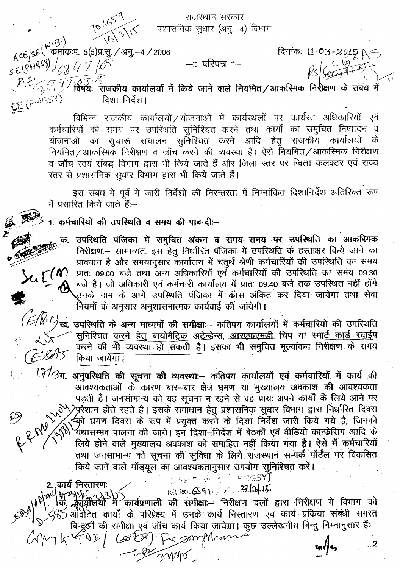

CE (PINGSY)

दिनांकः 11-03-2015 AS

 $...2$ 

<br>  $\text{R.E.}(\text{P.H.}^{\text{G.}})$  (0<sup>60</sup> )<br>
10<sup>60</sup> )<br>
10<sup>60</sup> )<br>
10<sup>60</sup> )<br>
10<sup>60</sup> )<br>
10<sup>60</sup> )<br>
10<sup>60</sup> )<br>
1070 )<br>
1080<br>
1080 )<br>
118114 Fagger (317.000<br>
1080<br>
1080<br>
1080<br>
1080<br>
1080<br>
1080<br>
1080<br>
1080<br>
1080<br>
1080<br>
1080<br>
1080<br>
1080<br>  $\left[\mathcal{R},\mathcal{K}\right)$   $\left[\sqrt{2\sqrt{2}}\sqrt{2}$  विषयः—राजकीय कार्यालयों में किये जाने वाले नियमित/आकस्मिक निरीक्षण के संबंध में दिशा निर्देश।

> विभिन्न राजकीय कार्यालयों / योजनाओं में कार्यस्थलों पर कार्यरत अधिकारियों एवं कर्मचारियों की समय पर उपस्थिति सुनिश्चित करने तथा कार्यों का समुचित निष्पादन व योजनाओं का सुचारू संचालन सुनिश्चित करने आदि हेतु राजकीय कार्यालयों के नियमित/आकरिमक निरीक्षण व जॉच करने की व्यवस्था है। ऐसे नियमित/आकरिमक निरीक्षण व जॉच स्वयं संबद्ध विभाग द्वारा भी किये जाते हैं और जिला स्तर पर जिला कलक्टर एवं राज्य स्तर से प्रशासनिक सुधार विभाग द्वारा भी किये जाते हैं।

> इस संबंध में पूर्व में जारी निर्देशों की निरन्तरता में निम्नांकित दिशानिर्देश अतिरिक्त रूप में प्रसारित किये जाते हैं:--

1. कर्मचारियों की उपस्थिति व समय की पाबन्दी:--

Copy L'47AD (Loter) Recompliance

Common

क. उपस्थिति पंजिका में समुचित अंकन व समय—समय पर उपस्थिति का आकस्मिक<br>इक्टी स्थित सामान्य स्थान के लिए सिर्फ समय पर उपस्थिति का आकस्मिक निरीक्षणः- सामान्यतः इस हेतु निर्धारित पंजिका में उपस्थिति के हस्ताक्षर किये जाने का प्रावधान है और समयानुसार कार्यालय में चतुर्थ श्रेणी कर्मचारियों की उपस्थिति का समय  $\chi$ ( ( $\ell$  ) प्रातः 09.00 बजे तथा अन्य अधिकारियों एवं कर्मचारियों की उपस्थिति का समय 09.30 बजे है। जो अधिकारी एवं कर्मचारी कार्यालय में प्रातः 09.40 बजे तक उपस्थित नहीं होंगे **्**उनके नाम के आगे उपस्थिति पंजिका में कॅास अंकित कर दिया जायेगा तथा सेवा नियमों के अनुसार अनुशासनात्मक कार्यवाई की जायेगी।

( $\mathcal{L}/\mathcal{U}$ ,  $U$ ) ख. उपस्थिति के अन्य माध्यमों की समीक्षाः- कतिपय कार्यालयों में कर्मचारियों की उपस्थिति<br>रूप सुनिश्चित करने हेतु बायोमैट्रिक अटेन्डेन्स, आरएफएमडी चिप या स्मार्ट कार्ड स्वाईप<br>रूप करने की भी व्यवस्था हो  $G2875$  किया जायेगा।

 $17/3$ ग. अनुपस्थिति की सूचना की व्यवस्थाः- कतिपय कार्यालयों एवं कर्मचारियों में कार्य की आवश्यकताओं के कारण बार-बार क्षेत्र भ्रमण या मुख्यालय अवकाश की आवश्यकता गुरुण वा जनसामान्य को यह सूचना न रहने से वह प्रायः अपने कार्यों के लिये आने पर पर पर पर प्रशान होते रहते है। इसके समाधान हेतु प्रशासनिक सुधार विभाग द्वारा निर्धारित दिवस<br>पुरुष को भ्रमण दिवस के रूप में प्रयुक्त करने के दिश लिये होने वाले मुख्यालय अवकाश को समाहित नहीं किया गया है। ऐसे में कर्मचारियों तथा जनसामान्य की सूचना की सुविधा के लिये राजस्थान सम्पर्क पोर्टल पर विकसित किये जाने वाले मॉड्यूल का आवश्यकतानुसार उपयोग सुनिश्चित करें।<br>2. कार्य निस्तारण – स्वाद्य कर्णाटक कर्णाटक करें।<br>2. कार्य निस्तारण –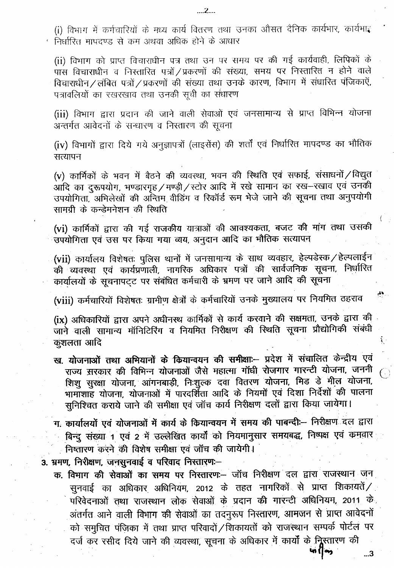(i) विभाग में कर्मचारियों के मध्य कार्य वितरण तथा उनका औसत दैनिक कार्यभार, कार्यभार <u>' निर्धारित मापदण्ड से कम अथवा अधिक होने के आधार</u>

(ii) विभाग को प्राप्त विचाराधीन पत्र तथा उन पर समय पर की गई कार्यवाही, लिपिकों के पास विचाराधीन व निस्तारित पत्रों / प्रकरणों की संख्या, समय पर निस्तारित न होने वाले विचाराधीन/लंबित पत्रों/प्रकरणों की संख्या तथा उनके कारण, विभाग में संधारित पंजिकाएँ, पत्रावलियों का रखरखाव तथा उनकी सूची का संधारण

(iii) विभाग द्वारा प्रदान की जाने वाली सेवाओं एवं जनसामान्य से प्राप्त विभिन्न योजना अन्तर्गत आवेदनों के सन्धारण व निस्तारण की सूचना

(iv) विभागों द्वारा दिये गये अनुज्ञापत्रों (लाइसेंस) की शर्तों एवं निर्धारित मापदण्ड का भौतिक सत्यापन

(v) कार्मिकों के भवन में बैठने की व्यवस्था, भवन की स्थिति एवं सफाई, संसाधनों / विद्युत आदि का दुरूपयोग, भण्डारगृह / मण्ड़ी / स्टोर आदि में रखे सामान का रख-रखाव एवं उनकी उपयोगिता, अभिलेखों की अन्तिम वीडिंग व रिकॉर्ड रूम भेजे जाने की सूचना तथा अनुपयोगी सामग्री के कन्डेमनेशन की स्थिति

(vi) कार्मिकों द्वारा की गई राजकीय यात्राओं की आवश्यकता, बजट की मांग तथा उसकी उपयोगिता एवं उस पर किया गया व्यय, अनुदान आदि का भौतिक सत्यापन

(vii) कार्यालय विशेषतः पुलिस थानों में जनसामान्य के साथ व्यवहार, हेल्पडेस्क / हेल्पलाईन की व्यवस्था एवं कार्यप्रणाली, नागरिक अधिकार पत्रों की सार्वजनिक सूचना, निर्धारित कार्यालयों के सूचनापट्ट पर संबंधित कर्मचारी के भ्रमण पर जाने आदि की सूचना

(viii) कर्मचारियों विशेषतः ग्रामीण क्षेत्रों के कर्मचारियों उनके मुख्यालय पर नियमित ठहराव

 $\mathbf{A}$ 

 $\tilde{\mathcal{X}}$ 

41 ( on

 $\cdot$ .3

(ix) अधिकारियों द्वारा अपने अधीनस्थ कार्मिकों से कार्य करवाने की सक्षमता, उनके द्वारा की जाने वाली सामान्य मॉनिटिरिंग व नियमित निरीक्षण की स्थिति सूचना प्रौद्योगिकी संबंधी कुशलता आदि

- ख. योजनाओं तथा अभियानों के कियान्वयन की समीक्षा:-- प्रदेश में संचालित केन्द्रीय एवं राज्य सरकार की विभिन्न योजनाओं जैसे महात्मा गाँधी रोजगार गारन्टी योजना, जननी शिशु सुरक्षा योजना, आंगनबाड़ी, निःशुल्क दवा वितरण योजना, मिड डे मील योजना, भामाशाह योजना, योजनाओं में पारदर्शिता आदि के नियमों एवं दिशा निर्देशों की पालना सुनिश्चित कराये जाने की समीक्षा एवं जॉच कार्य निरीक्षण दलों द्वारा किया जायेगा।
- ग, कार्यालयों एवं योजनाओं में कार्य के कियान्वयन में समय की पाबन्दी:-- निरीक्षण दल द्वारा बिन्दु संख्या 1 एवं 2 में उल्लेखित कार्यों को नियमानुसार समयबद्ध, निष्पक्ष एवं कमवार निष्तारण करने की विशेष समीक्षा एवं जाँच की जायेगी।

3. भ्रमण, निरीक्षण, जनसुनवाई व परिवाद निस्तारण:-

क. विभाग की सेवाओं का समय पर निस्तारण - जॉच निरीक्षण दल द्वारा राजस्थान जन सुनवाई का अधिकार अधिनियम, 2012 के तहत नागरिकों से प्राप्त शिकायतें परिवेदनाओं तथा राजस्थान लोक सेवाओं के प्रदान की गारन्टी अधिनियम, 2011 के अंतर्गत आने वाली बिभाग की सेवाओं का तदनुरूप निस्तारण, आमजन से प्राप्त आवेदनों को समुचित पंजिका में तथा प्राप्त परिवादों /शिकायतों को राजस्थान सम्पर्क पोर्टल पर दर्ज कर रसीद दिये जाने की व्यवस्था, सूचना के अधिकार में कार्यों के न्रिस्तारण की

....2....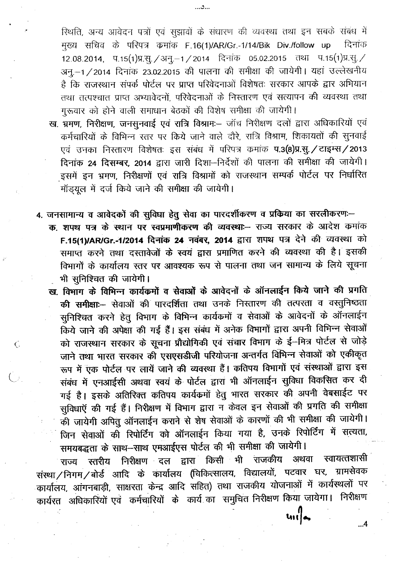रिथति, अन्य आवेदन पत्रों एवं सुझावों के संधारण की व्यवस्था तथा इन सबके संबंध में मुख्य सचिव के परिपत्र कमांक F.16(1)/AR/Gr.-1/14/Bik Div./follow up दिनांक 12.08.2014, प.15(1)प्र.स्. / अन्.-1 / 2014 दिनांक 05.02.2015 तथा प.15(1)प्र.सु. / अनू.-1/2014 दिनांक 23.02.2015 की पालना की समीक्षा की जायेगी। यहां उल्लेखनीय है कि राजस्थान संपर्क पोर्टल पर प्राप्त परिवेदनाओं विशेषतः सरकार आपके द्वार अभियान तथा तत्पश्चात प्राप्त अभ्यावेदनों. परिवेदनाओं के निस्तारण एवं सत्यापन की व्यवस्था तथा गुरूवार को होने वाली समाधान बेठकों की विशेष समीक्षा की जायेगी।

...ئ...

- ख. भ्रमण, निरीक्षण, जनसुनवाई एवं रात्रि विश्रामः- जॉच निरीक्षण दलों द्वारा अधिकारियों एवं कर्मचारियों के विभिन्न स्तर पर किये जाने वाले दौरे, रात्रि विश्राम, शिकायतों की सुनवाई एवं उनका निस्तारण विशेषतः इस संबंध में परिपत्र कमांक प.3(8)प्र.सु. / टाइम्स / 2013 दिनांक 24 दिसम्बर, 2014 द्वारा जारी दिशा-निर्देशों की पालना की समीक्षा की जायेगी। इसमें इन भ्रमण, निरीक्षणों एवं रात्रि विश्रामों को राजस्थान सम्पर्क पोर्टल पर निर्धारित मॉड्यूल में दर्ज किये जाने की समीक्षा की जायेगी।
- 4. जनसामान्य व आवेदकों की सुविधा हेतु सेवा का पारदर्शीकरण व प्रक्रिया का सरलीकरणः-क. शपथ पत्र के स्थान पर स्वप्रमाणीकरण की व्यवस्थाः- राज्य सरकार के आदेश कमांक F.15(1)/AR/Gr.-1/2014 दिनांक 24 नवंबर, 2014 द्वारा शपथ पत्र देने की व्यवस्था को समाप्त करने तथा दस्तावेजों के स्वयं द्वारा प्रमाणित करने की व्यवस्था की है। इसकी विभागों के कार्यालय स्तर पर आवश्यक रूप से पालना तथा जन सामान्य के लिये सूचना भी सुनिश्चित की जायेगी।
	- ख. विभाग के विभिन्न कार्यकर्मों व सेवाओं के आवेदनों के ऑनलाईन किये जाने की प्रगति की समीक्षाः-- सेवाओं की पारदर्शिता तथा उनके निस्तारण की तत्परता व वस्तुनिष्ठता सुनिश्चित करने हेतु विभाग के विभिन्न कार्यकर्मो व सेवाओं के आवेदनों के ऑनलाईन किये जाने की अपेक्षा की गई हैं। इस संबंध में अनेक विभागों द्वारा अपनी विभिन्न सेवाओं को राजस्थान सरकार के सूचना प्रौद्योगिकी एवं संचार विभाग के ई-मित्र पोर्टल से जोड़े जाने तथा भारत सरकार की एसएसडीजी परियोजना अन्तर्गत विभिन्न सेवाओं को एकीकृत रूप में एक पोर्टल पर लायें जाने की व्यवस्था हैं। कतिपय विभागों एवं संस्थाओं द्वारा इस संबंध में एनआईसी अथवा स्वयं के पोर्टल द्वारा भी ऑनलाईन सुविधा विकसित कर दी गई है। इसके अतिरिक्त कतिपय कार्यक्रमों हेतु भारत सरकार की अपनी वेबसाईट पर सुविधाएँ की गई हैं। निरीक्षण में विभाग द्वारा न केवल इन सेवाओं की प्रगति की समीक्षा की जायेगी अपितु ऑनलाईन कराने से शेष सेवाओं के कारणों की भी समीक्षा की जायेगी। जिन सेवाओं की रिपोर्टिंग को ऑनलाईन किया गया है, उनके रिपोर्टिंग में सत्यता, समयबद्धता के साथ-साथ एमआईएस पोर्टल की भी समीक्षा की जायेगी।

 $\mathsf{C}$ 

स्तरीय निरीक्षण दल द्वारा किसी भी राजकीय अथवा स्वायत्तशासी राज्य संस्था/निगम/बोर्ड आदि के कार्यालय (चिकित्सालय, विद्यालयों, पटवार घर, ग्रामसेवक कार्यालय, आंगनबाड़ी, साक्षरता केन्द्र आदि सहित) तथा राजकीय योजनाओं में कार्यस्थलों पर कार्यरत अधिकारियों एवं कर्मचारियों के कार्य का समुचित निरीक्षण किया जायेगा। निरीक्षण

 $\mathbf{u}_1$ 

 $.4$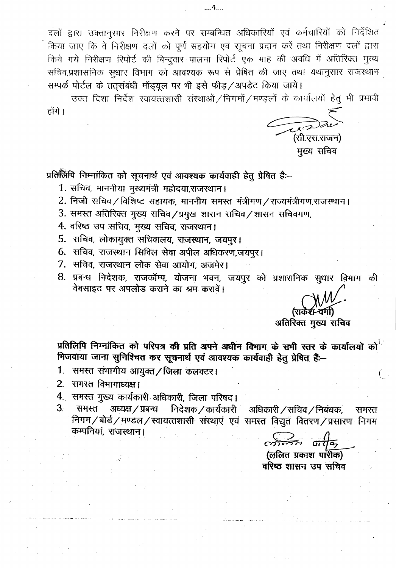....4....

उक्त दिशा निर्देश स्वायत्तशासी संस्थाओं / निगमों / मण्डलों के कार्यालयों हेतु भी प्रभावी होंगे ।

 $\sqrt{(1 - \lambda)^{2}}$ मुख्य सचिव

## प्रतिलिपि निम्नांकित को सूचनार्थ एवं आवश्यक कार्यवाही हेतु प्रेषित है:--

- 1. सचिव, माननीया मुख्यमंत्री महोदया,राजस्थान।
- 2. निजी सचिव/विशिष्ट सहायक, माननीय समस्त मंत्रीगण/राज्यमंत्रीगण,राजस्थान।
- 3. समस्त अतिरिक्त मुख्य सचिव/प्रमुख शासन सचिव/शासन सचिवगण,
- 4. वरिष्ठ उप सचिव, मुख्य सचिव, राजस्थान।
- 5. सचिव, लोकायुक्त सचिवालय, राजस्थान, जयपुर।
- 6. सचिव, राजस्थान सिविल सेवा अपील अधिकरण,जयपुर।
- 7. सचिव, राजस्थान लोक सेवा आयोग, अजमेर।
- 8. प्रबन्ध निदेशक, राजकॉम्प, योजना भवन, जयपुर को प्रशासनिक सुधार विभाग की वेबसाइट पर अपलोड कराने का श्रम करावें।

अतिरिक्त मुख्य सचिव

प्रतिलिपि निम्नांकित को परिपत्र की प्रति अपने अधीन विमाग के सभी स्तर के कार्यालयों को भिजवाया जाना सुनिश्चित कर सूचनार्थ एवं आवश्यक कार्यवाही हेतु प्रेषित हैं:-

- 1. समस्त संमागीय आयुक्त / जिला कलक्टर।
- 2. समस्त विभागाध्यक्ष ।
- 4. समस्त मुख्य कार्यकारी अधिकारी, जिला परिषद।
- अध्यक्ष / प्रबन्ध निदेशक / कार्यकारी अधिकारी / सचिव / निबंधक, 3. समस्त समस्त निगम/बोर्ड/मण्डल/स्वायत्तशासी संस्थाएं एवं समस्त विद्युत वितरण/प्रसारण निगम कम्पनियां, राजस्थान।

(ललित प्रकाश पारीक) वरिष्ठ शासन उप सचिव